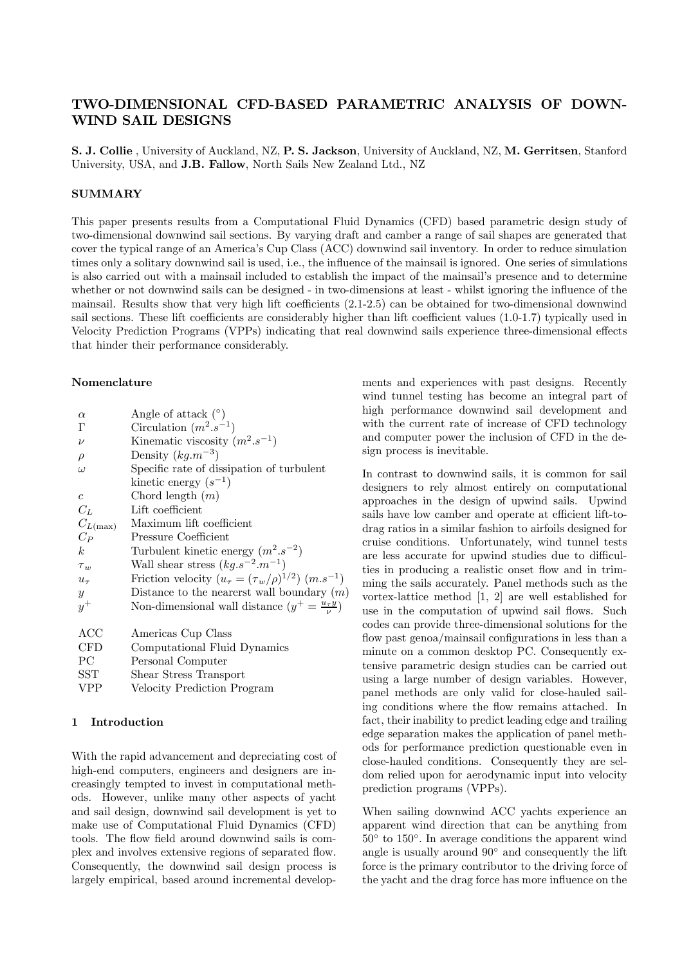# TWO-DIMENSIONAL CFD-BASED PARAMETRIC ANALYSIS OF DOWN-WIND SAIL DESIGNS

S. J. Collie , University of Auckland, NZ, P. S. Jackson, University of Auckland, NZ, M. Gerritsen, Stanford University, USA, and J.B. Fallow, North Sails New Zealand Ltd., NZ

## **SUMMARY**

This paper presents results from a Computational Fluid Dynamics (CFD) based parametric design study of two-dimensional downwind sail sections. By varying draft and camber a range of sail shapes are generated that cover the typical range of an America's Cup Class (ACC) downwind sail inventory. In order to reduce simulation times only a solitary downwind sail is used, i.e., the influence of the mainsail is ignored. One series of simulations is also carried out with a mainsail included to establish the impact of the mainsail's presence and to determine whether or not downwind sails can be designed - in two-dimensions at least - whilst ignoring the influence of the mainsail. Results show that very high lift coefficients (2.1-2.5) can be obtained for two-dimensional downwind sail sections. These lift coefficients are considerably higher than lift coefficient values (1.0-1.7) typically used in Velocity Prediction Programs (VPPs) indicating that real downwind sails experience three-dimensional effects that hinder their performance considerably.

### Nomenclature

| $\alpha$             | Angle of attack $(°)$                                           |
|----------------------|-----------------------------------------------------------------|
| Г                    | Circulation $(m^2.s^{-1})$                                      |
| $\nu$                | Kinematic viscosity $(m^2.s^{-1})$                              |
| $\rho$               | Density $(kg.m^{-3})$                                           |
| $\omega$             | Specific rate of dissipation of turbulent                       |
|                      | kinetic energy $(s^{-1})$                                       |
| $\epsilon$           | Chord length $(m)$                                              |
| $C_L$                | Lift coefficient                                                |
| $C_{L(\text{max})}$  | Maximum lift coefficient                                        |
| $C_P$                | Pressure Coefficient                                            |
| k <sub>i</sub>       | Turbulent kinetic energy $(m^2 \, s^{-2})$                      |
| $\tau_w$             | Wall shear stress $(kg.s^{-2}.m^{-1})$                          |
| $u_{\tau}$           | Friction velocity $(u_\tau = (\tau_w/\rho)^{1/2})$ $(m.s^{-1})$ |
| $\boldsymbol{y}$     | Distance to the nearerst wall boundary $(m)$                    |
| $y^+$                | Non-dimensional wall distance $(y^+ = \frac{u_\tau y}{\nu})$    |
|                      |                                                                 |
| $_{\mathrm{ACC}}$    | Americas Cup Class                                              |
| CFD                  | Computational Fluid Dynamics                                    |
| PС                   | Personal Computer                                               |
| $\operatorname{SST}$ | Shear Stress Transport                                          |
| VPP                  | Velocity Prediction Program                                     |

#### 1 Introduction

With the rapid advancement and depreciating cost of high-end computers, engineers and designers are increasingly tempted to invest in computational methods. However, unlike many other aspects of yacht and sail design, downwind sail development is yet to make use of Computational Fluid Dynamics (CFD) tools. The flow field around downwind sails is complex and involves extensive regions of separated flow. Consequently, the downwind sail design process is largely empirical, based around incremental developments and experiences with past designs. Recently wind tunnel testing has become an integral part of high performance downwind sail development and with the current rate of increase of CFD technology and computer power the inclusion of CFD in the design process is inevitable.

In contrast to downwind sails, it is common for sail designers to rely almost entirely on computational approaches in the design of upwind sails. Upwind sails have low camber and operate at efficient lift-todrag ratios in a similar fashion to airfoils designed for cruise conditions. Unfortunately, wind tunnel tests are less accurate for upwind studies due to difficulties in producing a realistic onset flow and in trimming the sails accurately. Panel methods such as the vortex-lattice method [1, 2] are well established for use in the computation of upwind sail flows. Such codes can provide three-dimensional solutions for the flow past genoa/mainsail configurations in less than a minute on a common desktop PC. Consequently extensive parametric design studies can be carried out using a large number of design variables. However, panel methods are only valid for close-hauled sailing conditions where the flow remains attached. In fact, their inability to predict leading edge and trailing edge separation makes the application of panel methods for performance prediction questionable even in close-hauled conditions. Consequently they are seldom relied upon for aerodynamic input into velocity prediction programs (VPPs).

When sailing downwind ACC yachts experience an apparent wind direction that can be anything from 50◦ to 150◦. In average conditions the apparent wind angle is usually around 90◦ and consequently the lift force is the primary contributor to the driving force of the yacht and the drag force has more influence on the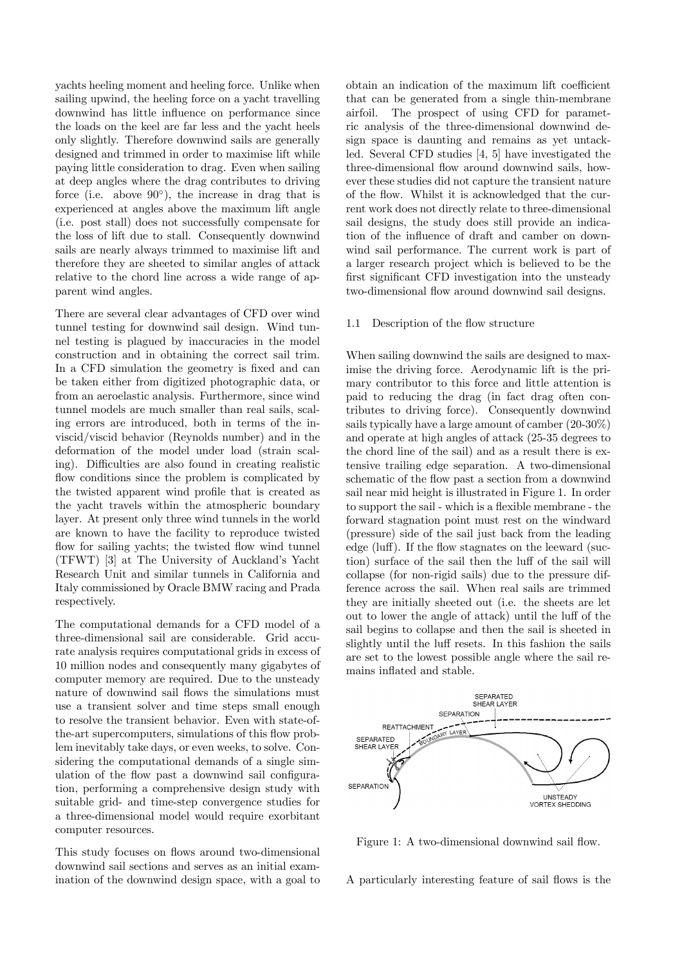yachts heeling moment and heeling force. Unlike when sailing upwind, the heeling force on a yacht travelling downwind has little influence on performance since the loads on the keel are far less and the yacht heels only slightly. Therefore downwind sails are generally designed and trimmed in order to maximise lift while paying little consideration to drag. Even when sailing at deep angles where the drag contributes to driving force (i.e. above  $90°$ ), the increase in drag that is experienced at angles above the maximum lift angle (i.e. post stall) does not successfully compensate for the loss of lift due to stall. Consequently downwind sails are nearly always trimmed to maximise lift and therefore they are sheeted to similar angles of attack relative to the chord line across a wide range of apparent wind angles.

There are several clear advantages of CFD over wind tunnel testing for downwind sail design. Wind tunnel testing is plagued by inaccuracies in the model construction and in obtaining the correct sail trim. In a CFD simulation the geometry is fixed and can be taken either from digitized photographic data, or from an aeroelastic analysis. Furthermore, since wind tunnel models are much smaller than real sails, scaling errors are introduced, both in terms of the inviscid/viscid behavior (Reynolds number) and in the deformation of the model under load (strain scaling). Difficulties are also found in creating realistic flow conditions since the problem is complicated by the twisted apparent wind profile that is created as the yacht travels within the atmospheric boundary layer. At present only three wind tunnels in the world are known to have the facility to reproduce twisted flow for sailing yachts; the twisted flow wind tunnel (TFWT) [3] at The University of Auckland's Yacht Research Unit and similar tunnels in California and Italy commissioned by Oracle BMW racing and Prada respectively.

The computational demands for a CFD model of a three-dimensional sail are considerable. Grid accurate analysis requires computational grids in excess of 10 million nodes and consequently many gigabytes of computer memory are required. Due to the unsteady nature of downwind sail flows the simulations must use a transient solver and time steps small enough to resolve the transient behavior. Even with state-ofthe-art supercomputers, simulations of this flow problem inevitably take days, or even weeks, to solve. Considering the computational demands of a single simulation of the flow past a downwind sail configuration, performing a comprehensive design study with suitable grid- and time-step convergence studies for a three-dimensional model would require exorbitant computer resources.

This study focuses on flows around two-dimensional downwind sail sections and serves as an initial examination of the downwind design space, with a goal to obtain an indication of the maximum lift coefficient that can be generated from a single thin-membrane airfoil. The prospect of using CFD for parametric analysis of the three-dimensional downwind design space is daunting and remains as yet untackled. Several CFD studies [4, 5] have investigated the three-dimensional flow around downwind sails, however these studies did not capture the transient nature of the flow. Whilst it is acknowledged that the current work does not directly relate to three-dimensional sail designs, the study does still provide an indication of the influence of draft and camber on downwind sail performance. The current work is part of a larger research project which is believed to be the first significant CFD investigation into the unsteady two-dimensional flow around downwind sail designs.

#### 1.1 Description of the flow structure

When sailing downwind the sails are designed to maximise the driving force. Aerodynamic lift is the primary contributor to this force and little attention is paid to reducing the drag (in fact drag often contributes to driving force). Consequently downwind sails typically have a large amount of camber (20-30%) and operate at high angles of attack (25-35 degrees to the chord line of the sail) and as a result there is extensive trailing edge separation. A two-dimensional schematic of the flow past a section from a downwind sail near mid height is illustrated in Figure 1. In order to support the sail - which is a flexible membrane - the forward stagnation point must rest on the windward (pressure) side of the sail just back from the leading edge (luff). If the flow stagnates on the leeward (suction) surface of the sail then the luff of the sail will collapse (for non-rigid sails) due to the pressure difference across the sail. When real sails are trimmed they are initially sheeted out (i.e. the sheets are let out to lower the angle of attack) until the luff of the sail begins to collapse and then the sail is sheeted in slightly until the luff resets. In this fashion the sails are set to the lowest possible angle where the sail remains inflated and stable.



Figure 1: A two-dimensional downwind sail flow.

A particularly interesting feature of sail flows is the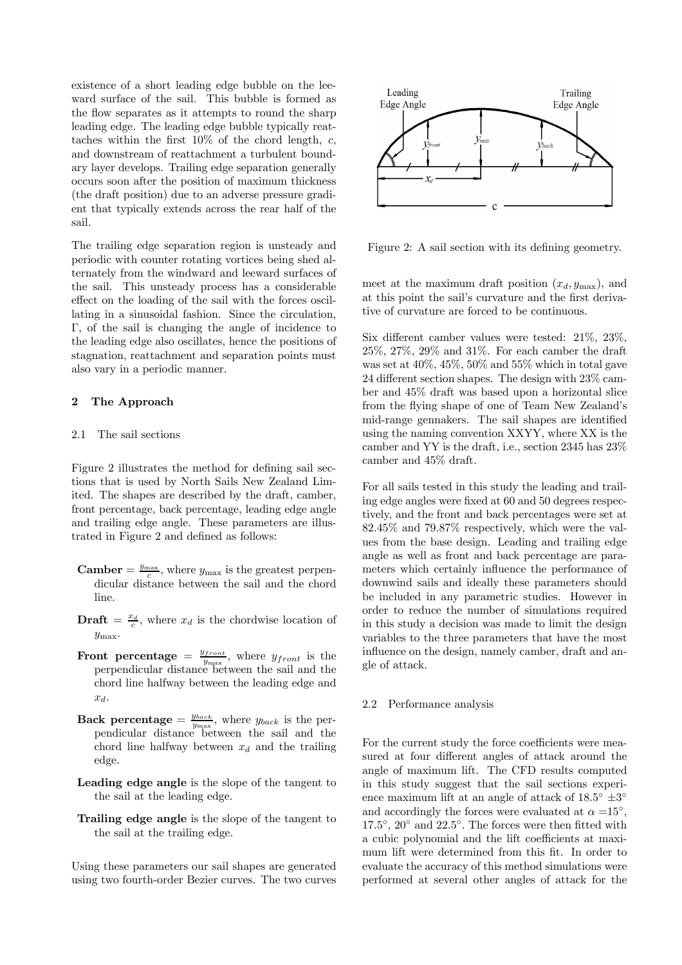existence of a short leading edge bubble on the leeward surface of the sail. This bubble is formed as the flow separates as it attempts to round the sharp leading edge. The leading edge bubble typically reattaches within the first  $10\%$  of the chord length, c, and downstream of reattachment a turbulent boundary layer develops. Trailing edge separation generally occurs soon after the position of maximum thickness (the draft position) due to an adverse pressure gradient that typically extends across the rear half of the sail.

The trailing edge separation region is unsteady and periodic with counter rotating vortices being shed alternately from the windward and leeward surfaces of the sail. This unsteady process has a considerable effect on the loading of the sail with the forces oscillating in a sinusoidal fashion. Since the circulation, Γ, of the sail is changing the angle of incidence to the leading edge also oscillates, hence the positions of stagnation, reattachment and separation points must also vary in a periodic manner.

## 2 The Approach

### 2.1 The sail sections

Figure 2 illustrates the method for defining sail sections that is used by North Sails New Zealand Limited. The shapes are described by the draft, camber, front percentage, back percentage, leading edge angle and trailing edge angle. These parameters are illustrated in Figure 2 and defined as follows:

- **Camber** =  $\frac{y_{\text{max}}}{c}$ , where  $y_{\text{max}}$  is the greatest perpendicular distance between the sail and the chord line.
- **Draft** =  $\frac{x_d}{c}$ , where  $x_d$  is the chordwise location of  $y_{\text{max}}$ .
- Front percentage  $=\frac{y_{front}}{y_{max}}$ , where  $y_{front}$  is the perpendicular distance between the sail and the chord line halfway between the leading edge and  $x_d$ .
- **Back percentage** =  $\frac{y_{back}}{y_{max}}$ , where  $y_{back}$  is the perpendicular distance between the sail and the chord line halfway between  $x_d$  and the trailing edge.
- Leading edge angle is the slope of the tangent to the sail at the leading edge.
- Trailing edge angle is the slope of the tangent to the sail at the trailing edge.

Using these parameters our sail shapes are generated using two fourth-order Bezier curves. The two curves



Figure 2: A sail section with its defining geometry.

meet at the maximum draft position  $(x_d, y_{\text{max}})$ , and at this point the sail's curvature and the first derivative of curvature are forced to be continuous.

Six different camber values were tested: 21%, 23%, 25%, 27%, 29% and 31%. For each camber the draft was set at 40%, 45%, 50% and 55% which in total gave 24 different section shapes. The design with 23% camber and 45% draft was based upon a horizontal slice from the flying shape of one of Team New Zealand's mid-range gennakers. The sail shapes are identified using the naming convention XXYY, where XX is the camber and YY is the draft, i.e., section 2345 has 23% camber and 45% draft.

For all sails tested in this study the leading and trailing edge angles were fixed at 60 and 50 degrees respectively, and the front and back percentages were set at 82.45% and 79.87% respectively, which were the values from the base design. Leading and trailing edge angle as well as front and back percentage are parameters which certainly influence the performance of downwind sails and ideally these parameters should be included in any parametric studies. However in order to reduce the number of simulations required in this study a decision was made to limit the design variables to the three parameters that have the most influence on the design, namely camber, draft and angle of attack.

#### 2.2 Performance analysis

For the current study the force coefficients were measured at four different angles of attack around the angle of maximum lift. The CFD results computed in this study suggest that the sail sections experience maximum lift at an angle of attack of  $18.5^\circ \pm 3^\circ$ and accordingly the forces were evaluated at  $\alpha = 15^{\circ}$ ,  $17.5°$ ,  $20°$  and  $22.5°$ . The forces were then fitted with a cubic polynomial and the lift coefficients at maximum lift were determined from this fit. In order to evaluate the accuracy of this method simulations were performed at several other angles of attack for the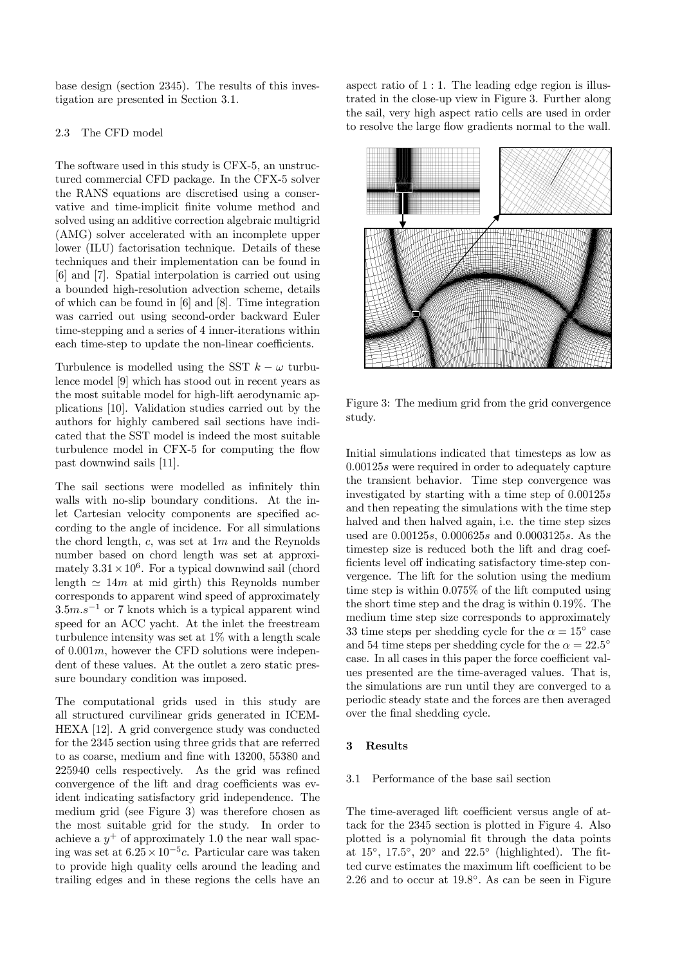base design (section 2345). The results of this investigation are presented in Section 3.1.

## 2.3 The CFD model

The software used in this study is CFX-5, an unstructured commercial CFD package. In the CFX-5 solver the RANS equations are discretised using a conservative and time-implicit finite volume method and solved using an additive correction algebraic multigrid (AMG) solver accelerated with an incomplete upper lower (ILU) factorisation technique. Details of these techniques and their implementation can be found in [6] and [7]. Spatial interpolation is carried out using a bounded high-resolution advection scheme, details of which can be found in [6] and [8]. Time integration was carried out using second-order backward Euler time-stepping and a series of 4 inner-iterations within each time-step to update the non-linear coefficients.

Turbulence is modelled using the SST  $k - \omega$  turbulence model [9] which has stood out in recent years as the most suitable model for high-lift aerodynamic applications [10]. Validation studies carried out by the authors for highly cambered sail sections have indicated that the SST model is indeed the most suitable turbulence model in CFX-5 for computing the flow past downwind sails [11].

The sail sections were modelled as infinitely thin walls with no-slip boundary conditions. At the inlet Cartesian velocity components are specified according to the angle of incidence. For all simulations the chord length, c, was set at  $1m$  and the Reynolds number based on chord length was set at approximately  $3.31 \times 10^6$ . For a typical downwind sail (chord length  $\simeq 14m$  at mid girth) this Reynolds number corresponds to apparent wind speed of approximately  $3.5m.s^{-1}$  or 7 knots which is a typical apparent wind speed for an ACC yacht. At the inlet the freestream turbulence intensity was set at 1% with a length scale of  $0.001m$ , however the CFD solutions were independent of these values. At the outlet a zero static pressure boundary condition was imposed.

The computational grids used in this study are all structured curvilinear grids generated in ICEM-HEXA [12]. A grid convergence study was conducted for the 2345 section using three grids that are referred to as coarse, medium and fine with 13200, 55380 and 225940 cells respectively. As the grid was refined convergence of the lift and drag coefficients was evident indicating satisfactory grid independence. The medium grid (see Figure 3) was therefore chosen as the most suitable grid for the study. In order to achieve a  $y^+$  of approximately 1.0 the near wall spacing was set at  $6.25 \times 10^{-5}$ c. Particular care was taken to provide high quality cells around the leading and trailing edges and in these regions the cells have an aspect ratio of 1 : 1. The leading edge region is illustrated in the close-up view in Figure 3. Further along the sail, very high aspect ratio cells are used in order to resolve the large flow gradients normal to the wall.



Figure 3: The medium grid from the grid convergence study.

Initial simulations indicated that timesteps as low as 0.00125s were required in order to adequately capture the transient behavior. Time step convergence was investigated by starting with a time step of 0.00125s and then repeating the simulations with the time step halved and then halved again, i.e. the time step sizes used are 0.00125s, 0.000625s and 0.0003125s. As the timestep size is reduced both the lift and drag coefficients level off indicating satisfactory time-step convergence. The lift for the solution using the medium time step is within 0.075% of the lift computed using the short time step and the drag is within 0.19%. The medium time step size corresponds to approximately 33 time steps per shedding cycle for the  $\alpha = 15^{\circ}$  case and 54 time steps per shedding cycle for the  $\alpha = 22.5^\circ$ case. In all cases in this paper the force coefficient values presented are the time-averaged values. That is, the simulations are run until they are converged to a periodic steady state and the forces are then averaged over the final shedding cycle.

## 3 Results

## 3.1 Performance of the base sail section

The time-averaged lift coefficient versus angle of attack for the 2345 section is plotted in Figure 4. Also plotted is a polynomial fit through the data points at  $15^{\circ}$ ,  $17.5^{\circ}$ ,  $20^{\circ}$  and  $22.5^{\circ}$  (highlighted). The fitted curve estimates the maximum lift coefficient to be 2.26 and to occur at 19.8◦. As can be seen in Figure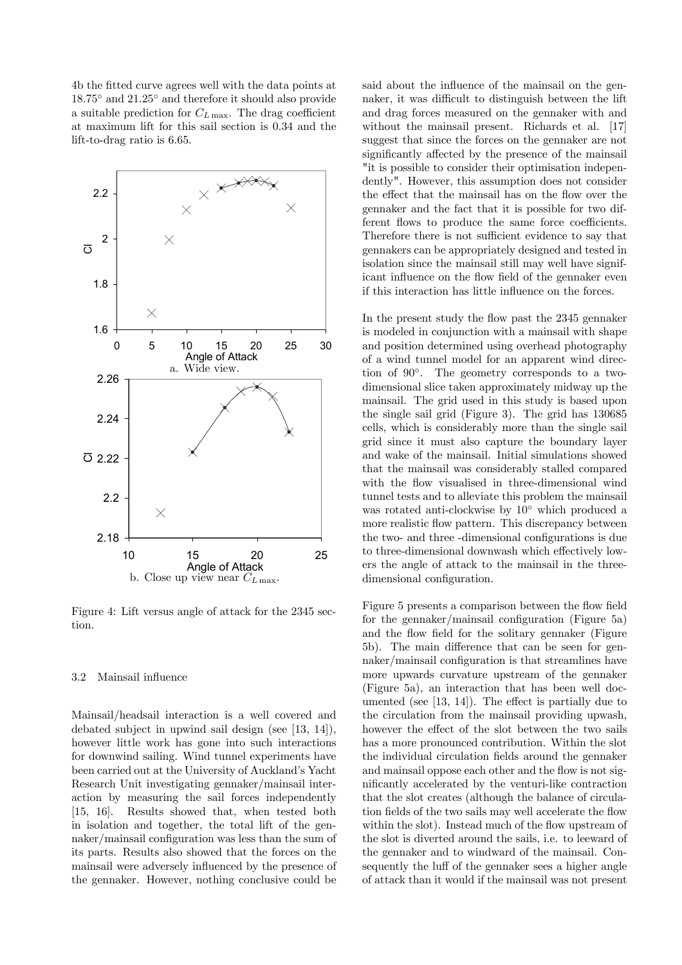4b the fitted curve agrees well with the data points at 18.75◦ and 21.25◦ and therefore it should also provide a suitable prediction for  $C_{L\,\text{max}}$ . The drag coefficient at maximum lift for this sail section is 0.34 and the lift-to-drag ratio is 6.65.



Figure 4: Lift versus angle of attack for the 2345 section.

#### 3.2 Mainsail influence

Mainsail/headsail interaction is a well covered and debated subject in upwind sail design (see [13, 14]), however little work has gone into such interactions for downwind sailing. Wind tunnel experiments have been carried out at the University of Auckland's Yacht Research Unit investigating gennaker/mainsail interaction by measuring the sail forces independently [15, 16]. Results showed that, when tested both in isolation and together, the total lift of the gennaker/mainsail configuration was less than the sum of its parts. Results also showed that the forces on the mainsail were adversely influenced by the presence of the gennaker. However, nothing conclusive could be said about the influence of the mainsail on the gennaker, it was difficult to distinguish between the lift and drag forces measured on the gennaker with and without the mainsail present. Richards et al. [17] suggest that since the forces on the gennaker are not significantly affected by the presence of the mainsail "it is possible to consider their optimisation independently". However, this assumption does not consider the effect that the mainsail has on the flow over the gennaker and the fact that it is possible for two different flows to produce the same force coefficients. Therefore there is not sufficient evidence to say that gennakers can be appropriately designed and tested in isolation since the mainsail still may well have significant influence on the flow field of the gennaker even if this interaction has little influence on the forces.

In the present study the flow past the 2345 gennaker is modeled in conjunction with a mainsail with shape and position determined using overhead photography of a wind tunnel model for an apparent wind direction of 90◦. The geometry corresponds to a twodimensional slice taken approximately midway up the mainsail. The grid used in this study is based upon the single sail grid (Figure 3). The grid has 130685 cells, which is considerably more than the single sail grid since it must also capture the boundary layer and wake of the mainsail. Initial simulations showed that the mainsail was considerably stalled compared with the flow visualised in three-dimensional wind tunnel tests and to alleviate this problem the mainsail was rotated anti-clockwise by 10◦ which produced a more realistic flow pattern. This discrepancy between the two- and three -dimensional configurations is due to three-dimensional downwash which effectively lowers the angle of attack to the mainsail in the threedimensional configuration.

Figure 5 presents a comparison between the flow field for the gennaker/mainsail configuration (Figure 5a) and the flow field for the solitary gennaker (Figure 5b). The main difference that can be seen for gennaker/mainsail configuration is that streamlines have more upwards curvature upstream of the gennaker (Figure 5a), an interaction that has been well documented (see [13, 14]). The effect is partially due to the circulation from the mainsail providing upwash, however the effect of the slot between the two sails has a more pronounced contribution. Within the slot the individual circulation fields around the gennaker and mainsail oppose each other and the flow is not significantly accelerated by the venturi-like contraction that the slot creates (although the balance of circulation fields of the two sails may well accelerate the flow within the slot). Instead much of the flow upstream of the slot is diverted around the sails, i.e. to leeward of the gennaker and to windward of the mainsail. Consequently the luff of the gennaker sees a higher angle of attack than it would if the mainsail was not present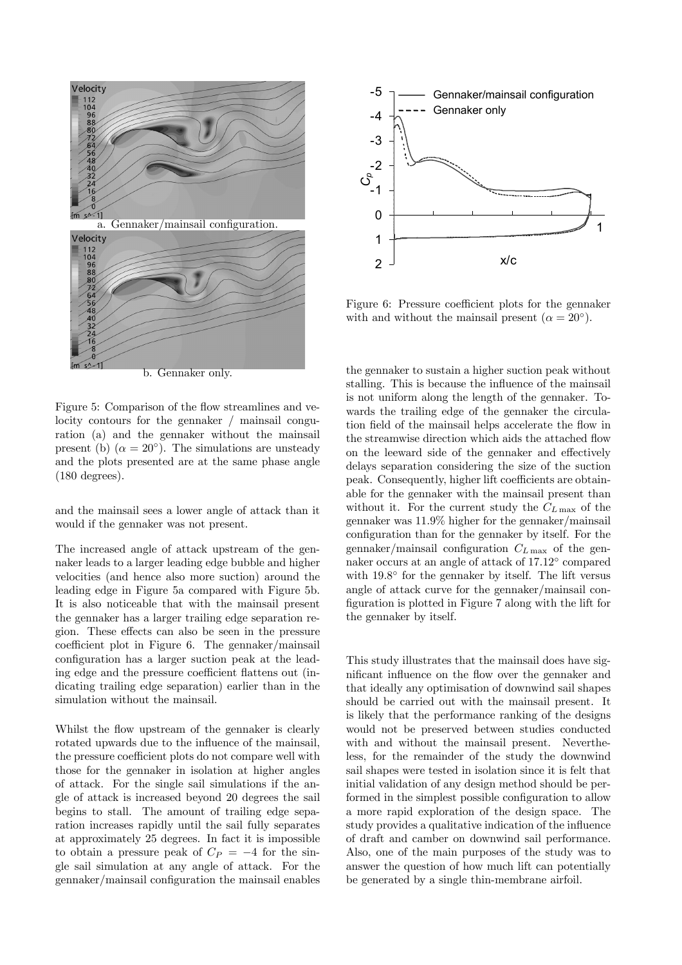

b. Gennaker only.

Figure 5: Comparison of the flow streamlines and velocity contours for the gennaker / mainsail conguration (a) and the gennaker without the mainsail present (b)  $(\alpha = 20^{\circ})$ . The simulations are unsteady and the plots presented are at the same phase angle (180 degrees).

and the mainsail sees a lower angle of attack than it would if the gennaker was not present.

The increased angle of attack upstream of the gennaker leads to a larger leading edge bubble and higher velocities (and hence also more suction) around the leading edge in Figure 5a compared with Figure 5b. It is also noticeable that with the mainsail present the gennaker has a larger trailing edge separation region. These effects can also be seen in the pressure coefficient plot in Figure 6. The gennaker/mainsail configuration has a larger suction peak at the leading edge and the pressure coefficient flattens out (indicating trailing edge separation) earlier than in the simulation without the mainsail.

Whilst the flow upstream of the gennaker is clearly rotated upwards due to the influence of the mainsail, the pressure coefficient plots do not compare well with those for the gennaker in isolation at higher angles of attack. For the single sail simulations if the angle of attack is increased beyond 20 degrees the sail begins to stall. The amount of trailing edge separation increases rapidly until the sail fully separates at approximately 25 degrees. In fact it is impossible to obtain a pressure peak of  $C_P = -4$  for the single sail simulation at any angle of attack. For the gennaker/mainsail configuration the mainsail enables



Figure 6: Pressure coefficient plots for the gennaker with and without the mainsail present ( $\alpha = 20^{\circ}$ ).

the gennaker to sustain a higher suction peak without stalling. This is because the influence of the mainsail is not uniform along the length of the gennaker. Towards the trailing edge of the gennaker the circulation field of the mainsail helps accelerate the flow in the streamwise direction which aids the attached flow on the leeward side of the gennaker and effectively delays separation considering the size of the suction peak. Consequently, higher lift coefficients are obtainable for the gennaker with the mainsail present than without it. For the current study the  $C_{L\,\text{max}}$  of the gennaker was 11.9% higher for the gennaker/mainsail configuration than for the gennaker by itself. For the gennaker/mainsail configuration  $C_{L\,\text{max}}$  of the gennaker occurs at an angle of attack of 17.12◦ compared with 19.8° for the gennaker by itself. The lift versus angle of attack curve for the gennaker/mainsail configuration is plotted in Figure 7 along with the lift for the gennaker by itself.

This study illustrates that the mainsail does have significant influence on the flow over the gennaker and that ideally any optimisation of downwind sail shapes should be carried out with the mainsail present. It is likely that the performance ranking of the designs would not be preserved between studies conducted with and without the mainsail present. Nevertheless, for the remainder of the study the downwind sail shapes were tested in isolation since it is felt that initial validation of any design method should be performed in the simplest possible configuration to allow a more rapid exploration of the design space. The study provides a qualitative indication of the influence of draft and camber on downwind sail performance. Also, one of the main purposes of the study was to answer the question of how much lift can potentially be generated by a single thin-membrane airfoil.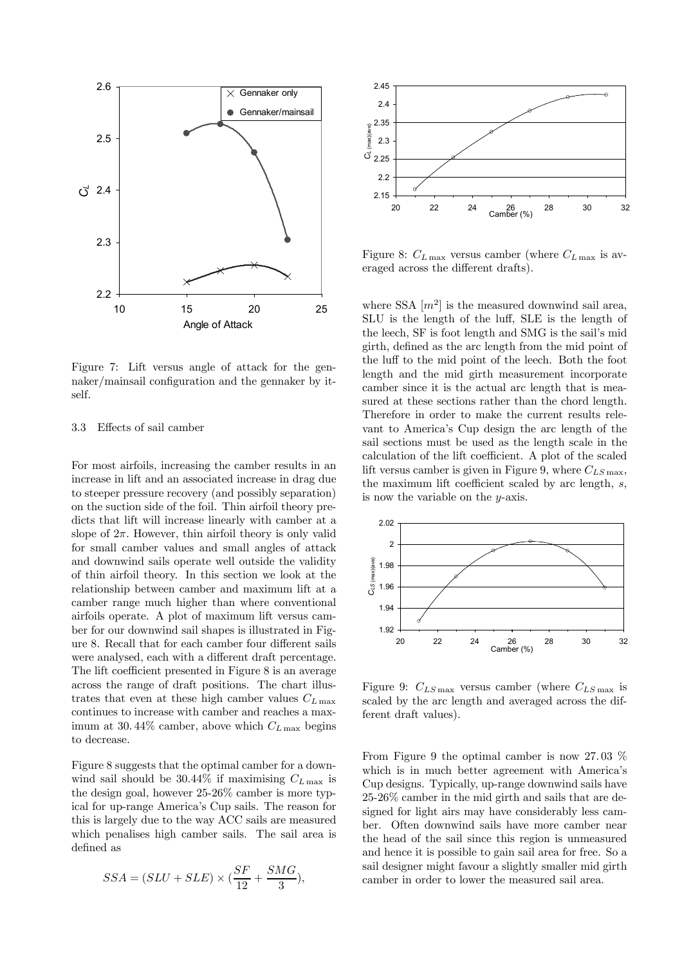

Figure 7: Lift versus angle of attack for the gennaker/mainsail configuration and the gennaker by itself.

## 3.3 Effects of sail camber

For most airfoils, increasing the camber results in an increase in lift and an associated increase in drag due to steeper pressure recovery (and possibly separation) on the suction side of the foil. Thin airfoil theory predicts that lift will increase linearly with camber at a slope of  $2\pi$ . However, thin airfoil theory is only valid for small camber values and small angles of attack and downwind sails operate well outside the validity of thin airfoil theory. In this section we look at the relationship between camber and maximum lift at a camber range much higher than where conventional airfoils operate. A plot of maximum lift versus camber for our downwind sail shapes is illustrated in Figure 8. Recall that for each camber four different sails were analysed, each with a different draft percentage. The lift coefficient presented in Figure 8 is an average across the range of draft positions. The chart illustrates that even at these high camber values  $C_{L\,\text{max}}$ continues to increase with camber and reaches a maximum at 30.44% camber, above which  $C_{L \text{ max}}$  begins to decrease.

Figure 8 suggests that the optimal camber for a downwind sail should be 30.44% if maximising  $C_{L\,\text{max}}$  is the design goal, however 25-26% camber is more typical for up-range America's Cup sails. The reason for this is largely due to the way ACC sails are measured which penalises high camber sails. The sail area is defined as

$$
SSA = (SLU + SLE) \times (\frac{SF}{12} + \frac{SMG}{3}),
$$



Figure 8:  $C_{L \text{ max}}$  versus camber (where  $C_{L \text{ max}}$  is averaged across the different drafts).

where SSA  $[m^2]$  is the measured downwind sail area, SLU is the length of the luff, SLE is the length of the leech, SF is foot length and SMG is the sail's mid girth, defined as the arc length from the mid point of the luff to the mid point of the leech. Both the foot length and the mid girth measurement incorporate camber since it is the actual arc length that is measured at these sections rather than the chord length. Therefore in order to make the current results relevant to America's Cup design the arc length of the sail sections must be used as the length scale in the calculation of the lift coefficient. A plot of the scaled lift versus camber is given in Figure 9, where  $C_{LS \max}$ , the maximum lift coefficient scaled by arc length, s, is now the variable on the  $y$ -axis.



Figure 9:  $C_{LS \max}$  versus camber (where  $C_{LS \max}$  is scaled by the arc length and averaged across the different draft values).

From Figure 9 the optimal camber is now 27. 03 % which is in much better agreement with America's Cup designs. Typically, up-range downwind sails have 25-26% camber in the mid girth and sails that are designed for light airs may have considerably less camber. Often downwind sails have more camber near the head of the sail since this region is unmeasured and hence it is possible to gain sail area for free. So a sail designer might favour a slightly smaller mid girth camber in order to lower the measured sail area.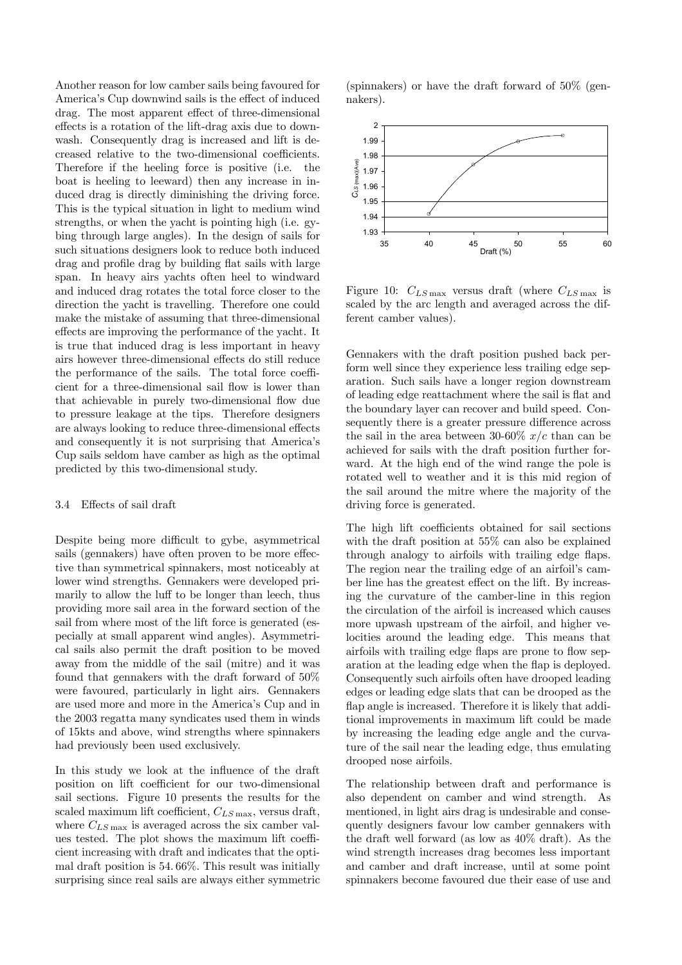Another reason for low camber sails being favoured for America's Cup downwind sails is the effect of induced drag. The most apparent effect of three-dimensional effects is a rotation of the lift-drag axis due to downwash. Consequently drag is increased and lift is decreased relative to the two-dimensional coefficients. Therefore if the heeling force is positive (i.e. the boat is heeling to leeward) then any increase in induced drag is directly diminishing the driving force. This is the typical situation in light to medium wind strengths, or when the yacht is pointing high (i.e. gybing through large angles). In the design of sails for such situations designers look to reduce both induced drag and profile drag by building flat sails with large span. In heavy airs yachts often heel to windward and induced drag rotates the total force closer to the direction the yacht is travelling. Therefore one could make the mistake of assuming that three-dimensional effects are improving the performance of the yacht. It is true that induced drag is less important in heavy airs however three-dimensional effects do still reduce the performance of the sails. The total force coefficient for a three-dimensional sail flow is lower than that achievable in purely two-dimensional flow due to pressure leakage at the tips. Therefore designers are always looking to reduce three-dimensional effects and consequently it is not surprising that America's Cup sails seldom have camber as high as the optimal predicted by this two-dimensional study.

## 3.4 Effects of sail draft

Despite being more difficult to gybe, asymmetrical sails (gennakers) have often proven to be more effective than symmetrical spinnakers, most noticeably at lower wind strengths. Gennakers were developed primarily to allow the luff to be longer than leech, thus providing more sail area in the forward section of the sail from where most of the lift force is generated (especially at small apparent wind angles). Asymmetrical sails also permit the draft position to be moved away from the middle of the sail (mitre) and it was found that gennakers with the draft forward of 50% were favoured, particularly in light airs. Gennakers are used more and more in the America's Cup and in the 2003 regatta many syndicates used them in winds of 15kts and above, wind strengths where spinnakers had previously been used exclusively.

In this study we look at the influence of the draft position on lift coefficient for our two-dimensional sail sections. Figure 10 presents the results for the scaled maximum lift coefficient,  $C_{LS \max}$ , versus draft, where  $C_{LS \max}$  is averaged across the six camber values tested. The plot shows the maximum lift coefficient increasing with draft and indicates that the optimal draft position is 54. 66%. This result was initially surprising since real sails are always either symmetric (spinnakers) or have the draft forward of 50% (gennakers).



Figure 10:  $C_{LS \max}$  versus draft (where  $C_{LS \max}$  is scaled by the arc length and averaged across the different camber values).

Gennakers with the draft position pushed back perform well since they experience less trailing edge separation. Such sails have a longer region downstream of leading edge reattachment where the sail is flat and the boundary layer can recover and build speed. Consequently there is a greater pressure difference across the sail in the area between 30-60%  $x/c$  than can be achieved for sails with the draft position further forward. At the high end of the wind range the pole is rotated well to weather and it is this mid region of the sail around the mitre where the majority of the driving force is generated.

The high lift coefficients obtained for sail sections with the draft position at 55% can also be explained through analogy to airfoils with trailing edge flaps. The region near the trailing edge of an airfoil's camber line has the greatest effect on the lift. By increasing the curvature of the camber-line in this region the circulation of the airfoil is increased which causes more upwash upstream of the airfoil, and higher velocities around the leading edge. This means that airfoils with trailing edge flaps are prone to flow separation at the leading edge when the flap is deployed. Consequently such airfoils often have drooped leading edges or leading edge slats that can be drooped as the flap angle is increased. Therefore it is likely that additional improvements in maximum lift could be made by increasing the leading edge angle and the curvature of the sail near the leading edge, thus emulating drooped nose airfoils.

The relationship between draft and performance is also dependent on camber and wind strength. As mentioned, in light airs drag is undesirable and consequently designers favour low camber gennakers with the draft well forward (as low as 40% draft). As the wind strength increases drag becomes less important and camber and draft increase, until at some point spinnakers become favoured due their ease of use and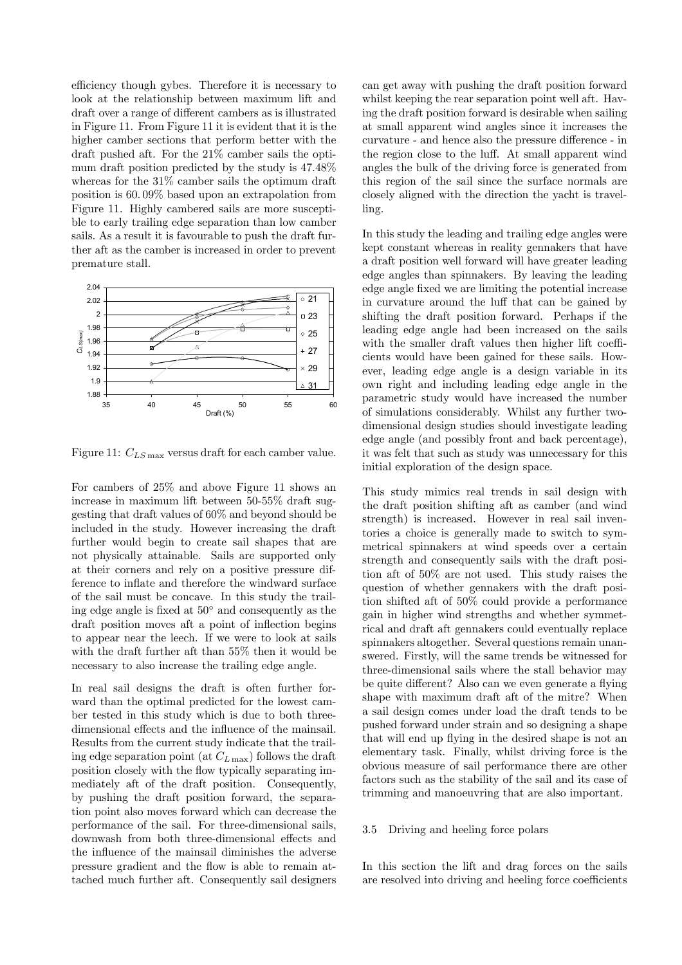efficiency though gybes. Therefore it is necessary to look at the relationship between maximum lift and draft over a range of different cambers as is illustrated in Figure 11. From Figure 11 it is evident that it is the higher camber sections that perform better with the draft pushed aft. For the 21% camber sails the optimum draft position predicted by the study is 47.48% whereas for the 31% camber sails the optimum draft position is 60. 09% based upon an extrapolation from Figure 11. Highly cambered sails are more susceptible to early trailing edge separation than low camber sails. As a result it is favourable to push the draft further aft as the camber is increased in order to prevent premature stall.



Figure 11:  $C_{LS \max}$  versus draft for each camber value.

For cambers of 25% and above Figure 11 shows an increase in maximum lift between 50-55% draft suggesting that draft values of 60% and beyond should be included in the study. However increasing the draft further would begin to create sail shapes that are not physically attainable. Sails are supported only at their corners and rely on a positive pressure difference to inflate and therefore the windward surface of the sail must be concave. In this study the trailing edge angle is fixed at 50◦ and consequently as the draft position moves aft a point of inflection begins to appear near the leech. If we were to look at sails with the draft further aft than 55% then it would be necessary to also increase the trailing edge angle.

In real sail designs the draft is often further forward than the optimal predicted for the lowest camber tested in this study which is due to both threedimensional effects and the influence of the mainsail. Results from the current study indicate that the trailing edge separation point (at  $C_{L\,\text{max}}$ ) follows the draft position closely with the flow typically separating immediately aft of the draft position. Consequently, by pushing the draft position forward, the separation point also moves forward which can decrease the performance of the sail. For three-dimensional sails, downwash from both three-dimensional effects and the influence of the mainsail diminishes the adverse pressure gradient and the flow is able to remain attached much further aft. Consequently sail designers can get away with pushing the draft position forward whilst keeping the rear separation point well aft. Having the draft position forward is desirable when sailing at small apparent wind angles since it increases the curvature - and hence also the pressure difference - in the region close to the luff. At small apparent wind angles the bulk of the driving force is generated from this region of the sail since the surface normals are closely aligned with the direction the yacht is travelling.

In this study the leading and trailing edge angles were kept constant whereas in reality gennakers that have a draft position well forward will have greater leading edge angles than spinnakers. By leaving the leading edge angle fixed we are limiting the potential increase in curvature around the luff that can be gained by shifting the draft position forward. Perhaps if the leading edge angle had been increased on the sails with the smaller draft values then higher lift coefficients would have been gained for these sails. However, leading edge angle is a design variable in its own right and including leading edge angle in the parametric study would have increased the number of simulations considerably. Whilst any further twodimensional design studies should investigate leading edge angle (and possibly front and back percentage), it was felt that such as study was unnecessary for this initial exploration of the design space.

This study mimics real trends in sail design with the draft position shifting aft as camber (and wind strength) is increased. However in real sail inventories a choice is generally made to switch to symmetrical spinnakers at wind speeds over a certain strength and consequently sails with the draft position aft of 50% are not used. This study raises the question of whether gennakers with the draft position shifted aft of 50% could provide a performance gain in higher wind strengths and whether symmetrical and draft aft gennakers could eventually replace spinnakers altogether. Several questions remain unanswered. Firstly, will the same trends be witnessed for three-dimensional sails where the stall behavior may be quite different? Also can we even generate a flying shape with maximum draft aft of the mitre? When a sail design comes under load the draft tends to be pushed forward under strain and so designing a shape that will end up flying in the desired shape is not an elementary task. Finally, whilst driving force is the obvious measure of sail performance there are other factors such as the stability of the sail and its ease of trimming and manoeuvring that are also important.

## 3.5 Driving and heeling force polars

In this section the lift and drag forces on the sails are resolved into driving and heeling force coefficients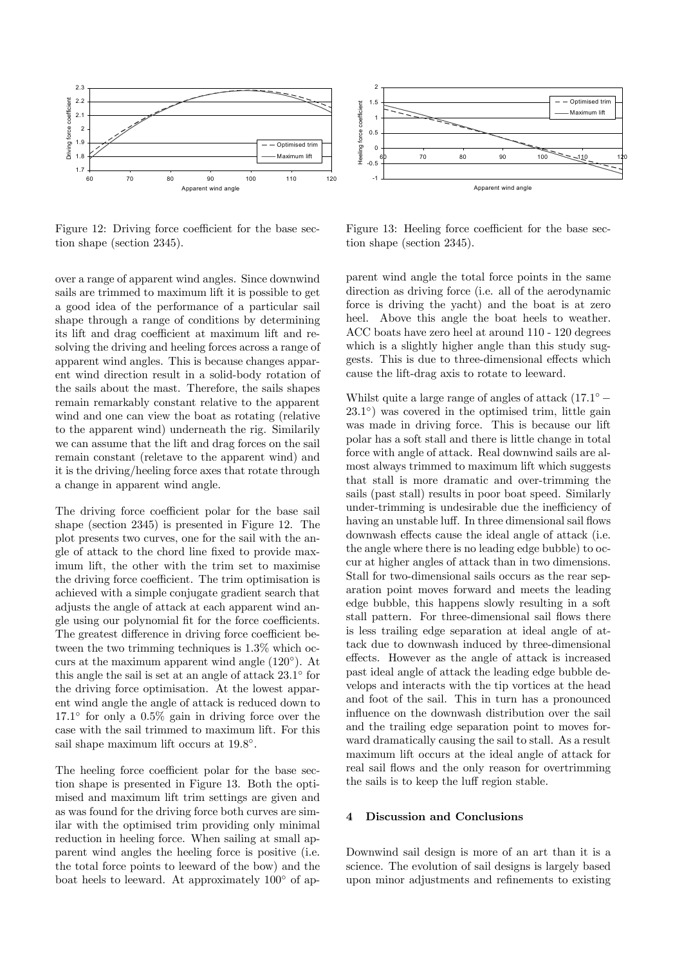

Figure 12: Driving force coefficient for the base section shape (section 2345).



Figure 13: Heeling force coefficient for the base section shape (section 2345).

over a range of apparent wind angles. Since downwind sails are trimmed to maximum lift it is possible to get a good idea of the performance of a particular sail shape through a range of conditions by determining its lift and drag coefficient at maximum lift and resolving the driving and heeling forces across a range of apparent wind angles. This is because changes apparent wind direction result in a solid-body rotation of the sails about the mast. Therefore, the sails shapes remain remarkably constant relative to the apparent wind and one can view the boat as rotating (relative to the apparent wind) underneath the rig. Similarily we can assume that the lift and drag forces on the sail remain constant (reletave to the apparent wind) and it is the driving/heeling force axes that rotate through a change in apparent wind angle.

The driving force coefficient polar for the base sail shape (section 2345) is presented in Figure 12. The plot presents two curves, one for the sail with the angle of attack to the chord line fixed to provide maximum lift, the other with the trim set to maximise the driving force coefficient. The trim optimisation is achieved with a simple conjugate gradient search that adjusts the angle of attack at each apparent wind angle using our polynomial fit for the force coefficients. The greatest difference in driving force coefficient between the two trimming techniques is 1.3% which occurs at the maximum apparent wind angle (120◦). At this angle the sail is set at an angle of attack 23.1◦ for the driving force optimisation. At the lowest apparent wind angle the angle of attack is reduced down to 17.1◦ for only a 0.5% gain in driving force over the case with the sail trimmed to maximum lift. For this sail shape maximum lift occurs at  $19.8°$ .

The heeling force coefficient polar for the base section shape is presented in Figure 13. Both the optimised and maximum lift trim settings are given and as was found for the driving force both curves are similar with the optimised trim providing only minimal reduction in heeling force. When sailing at small apparent wind angles the heeling force is positive (i.e. the total force points to leeward of the bow) and the boat heels to leeward. At approximately 100◦ of apparent wind angle the total force points in the same direction as driving force (i.e. all of the aerodynamic force is driving the yacht) and the boat is at zero heel. Above this angle the boat heels to weather. ACC boats have zero heel at around 110 - 120 degrees which is a slightly higher angle than this study suggests. This is due to three-dimensional effects which cause the lift-drag axis to rotate to leeward.

Whilst quite a large range of angles of attack  $(17.1° 23.1°$ ) was covered in the optimised trim, little gain was made in driving force. This is because our lift polar has a soft stall and there is little change in total force with angle of attack. Real downwind sails are almost always trimmed to maximum lift which suggests that stall is more dramatic and over-trimming the sails (past stall) results in poor boat speed. Similarly under-trimming is undesirable due the inefficiency of having an unstable luff. In three dimensional sail flows downwash effects cause the ideal angle of attack (i.e. the angle where there is no leading edge bubble) to occur at higher angles of attack than in two dimensions. Stall for two-dimensional sails occurs as the rear separation point moves forward and meets the leading edge bubble, this happens slowly resulting in a soft stall pattern. For three-dimensional sail flows there is less trailing edge separation at ideal angle of attack due to downwash induced by three-dimensional effects. However as the angle of attack is increased past ideal angle of attack the leading edge bubble develops and interacts with the tip vortices at the head and foot of the sail. This in turn has a pronounced influence on the downwash distribution over the sail and the trailing edge separation point to moves forward dramatically causing the sail to stall. As a result maximum lift occurs at the ideal angle of attack for real sail flows and the only reason for overtrimming the sails is to keep the luff region stable.

## 4 Discussion and Conclusions

Downwind sail design is more of an art than it is a science. The evolution of sail designs is largely based upon minor adjustments and refinements to existing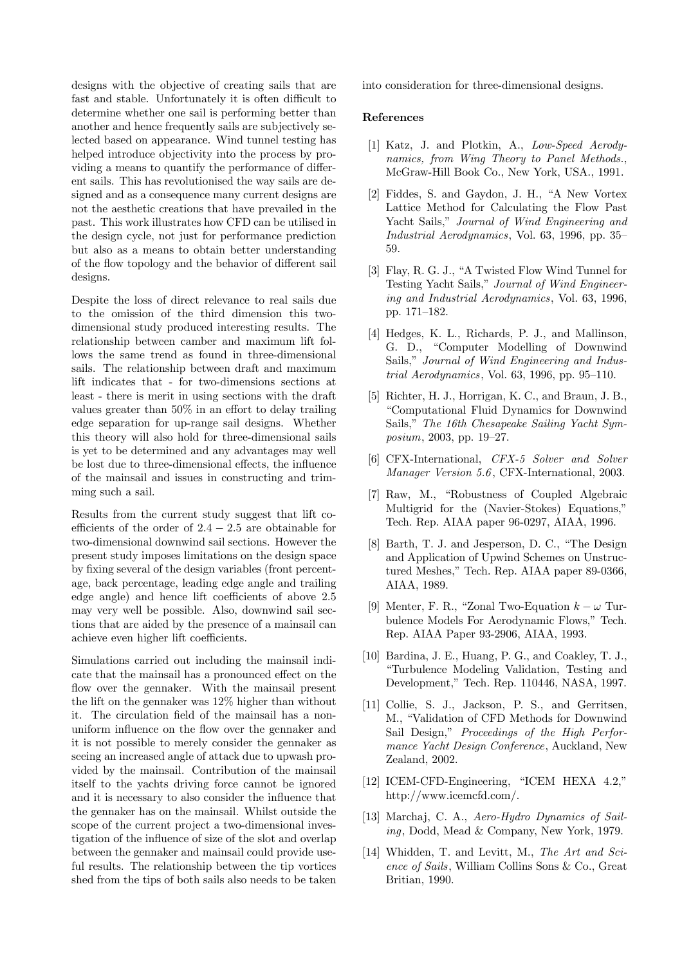designs with the objective of creating sails that are fast and stable. Unfortunately it is often difficult to determine whether one sail is performing better than another and hence frequently sails are subjectively selected based on appearance. Wind tunnel testing has helped introduce objectivity into the process by providing a means to quantify the performance of different sails. This has revolutionised the way sails are designed and as a consequence many current designs are not the aesthetic creations that have prevailed in the past. This work illustrates how CFD can be utilised in the design cycle, not just for performance prediction but also as a means to obtain better understanding of the flow topology and the behavior of different sail designs.

Despite the loss of direct relevance to real sails due to the omission of the third dimension this twodimensional study produced interesting results. The relationship between camber and maximum lift follows the same trend as found in three-dimensional sails. The relationship between draft and maximum lift indicates that - for two-dimensions sections at least - there is merit in using sections with the draft values greater than 50% in an effort to delay trailing edge separation for up-range sail designs. Whether this theory will also hold for three-dimensional sails is yet to be determined and any advantages may well be lost due to three-dimensional effects, the influence of the mainsail and issues in constructing and trimming such a sail.

Results from the current study suggest that lift coefficients of the order of  $2.4 - 2.5$  are obtainable for two-dimensional downwind sail sections. However the present study imposes limitations on the design space by fixing several of the design variables (front percentage, back percentage, leading edge angle and trailing edge angle) and hence lift coefficients of above 2.5 may very well be possible. Also, downwind sail sections that are aided by the presence of a mainsail can achieve even higher lift coefficients.

Simulations carried out including the mainsail indicate that the mainsail has a pronounced effect on the flow over the gennaker. With the mainsail present the lift on the gennaker was 12% higher than without it. The circulation field of the mainsail has a nonuniform influence on the flow over the gennaker and it is not possible to merely consider the gennaker as seeing an increased angle of attack due to upwash provided by the mainsail. Contribution of the mainsail itself to the yachts driving force cannot be ignored and it is necessary to also consider the influence that the gennaker has on the mainsail. Whilst outside the scope of the current project a two-dimensional investigation of the influence of size of the slot and overlap between the gennaker and mainsail could provide useful results. The relationship between the tip vortices shed from the tips of both sails also needs to be taken into consideration for three-dimensional designs.

## References

- [1] Katz, J. and Plotkin, A., Low-Speed Aerodynamics, from Wing Theory to Panel Methods., McGraw-Hill Book Co., New York, USA., 1991.
- [2] Fiddes, S. and Gaydon, J. H., "A New Vortex Lattice Method for Calculating the Flow Past Yacht Sails," Journal of Wind Engineering and Industrial Aerodynamics, Vol. 63, 1996, pp. 35— 59.
- [3] Flay, R. G. J., "A Twisted Flow Wind Tunnel for Testing Yacht Sails," Journal of Wind Engineering and Industrial Aerodynamics, Vol. 63, 1996, pp. 171—182.
- [4] Hedges, K. L., Richards, P. J., and Mallinson, G. D., "Computer Modelling of Downwind Sails," Journal of Wind Engineering and Industrial Aerodynamics, Vol. 63, 1996, pp. 95—110.
- [5] Richter, H. J., Horrigan, K. C., and Braun, J. B., "Computational Fluid Dynamics for Downwind Sails," The 16th Chesapeake Sailing Yacht Symposium, 2003, pp. 19—27.
- [6] CFX-International, CFX-5 Solver and Solver Manager Version 5.6 , CFX-International, 2003.
- [7] Raw, M., "Robustness of Coupled Algebraic Multigrid for the (Navier-Stokes) Equations," Tech. Rep. AIAA paper 96-0297, AIAA, 1996.
- [8] Barth, T. J. and Jesperson, D. C., "The Design and Application of Upwind Schemes on Unstructured Meshes," Tech. Rep. AIAA paper 89-0366, AIAA, 1989.
- [9] Menter, F. R., "Zonal Two-Equation  $k \omega$  Turbulence Models For Aerodynamic Flows," Tech. Rep. AIAA Paper 93-2906, AIAA, 1993.
- [10] Bardina, J. E., Huang, P. G., and Coakley, T. J., "Turbulence Modeling Validation, Testing and Development," Tech. Rep. 110446, NASA, 1997.
- [11] Collie, S. J., Jackson, P. S., and Gerritsen, M., "Validation of CFD Methods for Downwind Sail Design," Proceedings of the High Performance Yacht Design Conference, Auckland, New Zealand, 2002.
- [12] ICEM-CFD-Engineering, "ICEM HEXA 4.2," http://www.icemcfd.com/.
- [13] Marchaj, C. A., Aero-Hydro Dynamics of Sailing, Dodd, Mead & Company, New York, 1979.
- [14] Whidden, T. and Levitt, M., The Art and Science of Sails, William Collins Sons & Co., Great Britian, 1990.